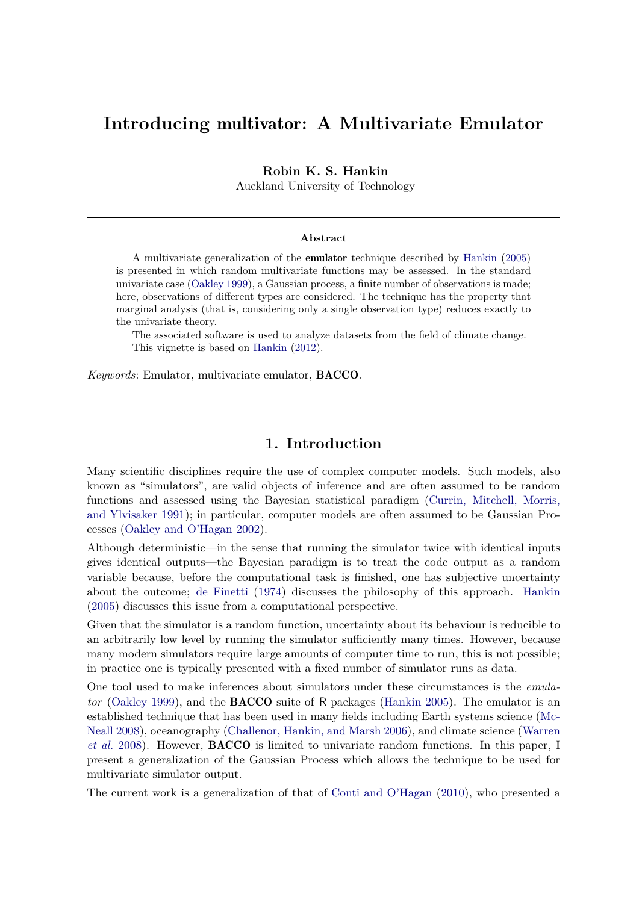# **Introducing** multivator**: A Multivariate Emulator**

**Robin K. S. Hankin**

Auckland University of Technology

#### **Abstract**

A multivariate generalization of the emulator technique described by [Hankin](#page-19-0) [\(2005\)](#page-19-0) is presented in which random multivariate functions may be assessed. In the standard univariate case [\(Oakley 1999\)](#page-19-1), a Gaussian process, a finite number of observations is made; here, observations of different types are considered. The technique has the property that marginal analysis (that is, considering only a single observation type) reduces exactly to the univariate theory.

The associated software is used to analyze datasets from the field of climate change. This vignette is based on [Hankin](#page-19-2) [\(2012\)](#page-19-2).

*Keywords*: Emulator, multivariate emulator, BACCO.

## **1. Introduction**

Many scientific disciplines require the use of complex computer models. Such models, also known as "simulators", are valid objects of inference and are often assumed to be random functions and assessed using the Bayesian statistical paradigm [\(Currin, Mitchell, Morris,](#page-18-0) [and Ylvisaker 1991\)](#page-18-0); in particular, computer models are often assumed to be Gaussian Processes [\(Oakley and O'Hagan 2002\)](#page-19-3).

Although deterministic—in the sense that running the simulator twice with identical inputs gives identical outputs—the Bayesian paradigm is to treat the code output as a random variable because, before the computational task is finished, one has subjective uncertainty about the outcome; [de Finetti](#page-18-1) [\(1974\)](#page-18-1) discusses the philosophy of this approach. [Hankin](#page-19-0) [\(2005\)](#page-19-0) discusses this issue from a computational perspective.

Given that the simulator is a random function, uncertainty about its behaviour is reducible to an arbitrarily low level by running the simulator sufficiently many times. However, because many modern simulators require large amounts of computer time to run, this is not possible; in practice one is typically presented with a fixed number of simulator runs as data.

One tool used to make inferences about simulators under these circumstances is the *emulator* [\(Oakley 1999\)](#page-19-1), and the BACCO suite of R packages [\(Hankin 2005\)](#page-19-0). The emulator is an established technique that has been used in many fields including Earth systems science [\(Mc-](#page-19-4)[Neall 2008\)](#page-19-4), oceanography [\(Challenor, Hankin, and Marsh 2006\)](#page-18-2), and climate science [\(Warren](#page-20-0) *[et al.](#page-20-0)* [2008\)](#page-20-0). However, BACCO is limited to univariate random functions. In this paper, I present a generalization of the Gaussian Process which allows the technique to be used for multivariate simulator output.

The current work is a generalization of that of [Conti and O'Hagan](#page-18-3) [\(2010\)](#page-18-3), who presented a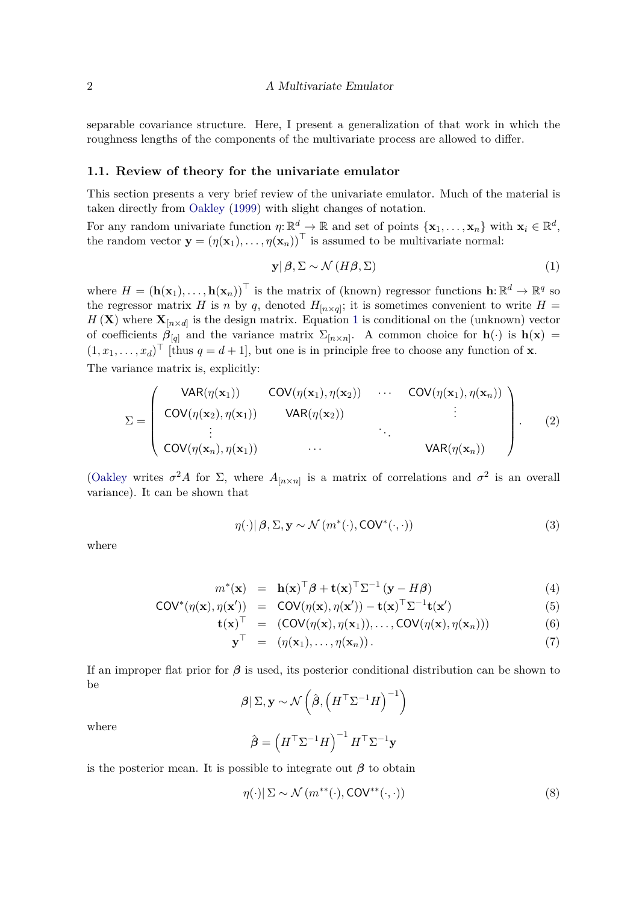separable covariance structure. Here, I present a generalization of that work in which the roughness lengths of the components of the multivariate process are allowed to differ.

#### <span id="page-1-4"></span>**1.1. Review of theory for the univariate emulator**

This section presents a very brief review of the univariate emulator. Much of the material is taken directly from [Oakley](#page-19-1) [\(1999\)](#page-19-1) with slight changes of notation.

For any random univariate function  $\eta: \mathbb{R}^d \to \mathbb{R}$  and set of points  $\{\mathbf{x}_1, \ldots, \mathbf{x}_n\}$  with  $\mathbf{x}_i \in \mathbb{R}^d$ , the random vector  $\mathbf{y} = (\eta(\mathbf{x}_1), \dots, \eta(\mathbf{x}_n))^T$  is assumed to be multivariate normal:

<span id="page-1-0"></span>
$$
\mathbf{y} | \boldsymbol{\beta}, \boldsymbol{\Sigma} \sim \mathcal{N} \left( H \boldsymbol{\beta}, \boldsymbol{\Sigma} \right) \tag{1}
$$

where  $H = (\mathbf{h}(\mathbf{x}_1), \dots, \mathbf{h}(\mathbf{x}_n))^T$  is the matrix of (known) regressor functions  $\mathbf{h}: \mathbb{R}^d \to \mathbb{R}^q$  so the regressor matrix *H* is *n* by *q*, denoted  $H_{[n \times q]}$ ; it is sometimes convenient to write  $H =$  $H(\mathbf{X})$  where  $\mathbf{X}_{[n \times d]}$  is the design matrix. Equation [1](#page-1-0) is conditional on the (unknown) vector of coefficients  $\beta_{[q]}$  and the variance matrix  $\Sigma_{[n \times n]}$ . A common choice for  $h(\cdot)$  is  $h(\mathbf{x}) =$  $(1, x_1, \ldots, x_d)$ <sup>T</sup> [thus  $q = d + 1$ ], but one is in principle free to choose any function of **x**. The variance matrix is, explicitly:

<span id="page-1-1"></span>
$$
\Sigma = \left(\begin{array}{cccc} \text{VAR}(\eta(\mathbf{x}_1)) & \text{COV}(\eta(\mathbf{x}_1), \eta(\mathbf{x}_2)) & \cdots & \text{COV}(\eta(\mathbf{x}_1), \eta(\mathbf{x}_n)) \\ \text{COV}(\eta(\mathbf{x}_2), \eta(\mathbf{x}_1)) & \text{VAR}(\eta(\mathbf{x}_2)) & \vdots \\ \vdots & \ddots & \ddots & \vdots \\ \text{COV}(\eta(\mathbf{x}_n), \eta(\mathbf{x}_1)) & \cdots & \text{VAR}(\eta(\mathbf{x}_n)) \end{array}\right).
$$
 (2)

[\(Oakley](#page-19-1) writes  $\sigma^2 A$  for  $\Sigma$ , where  $A_{[n \times n]}$  is a matrix of correlations and  $\sigma^2$  is an overall variance). It can be shown that

<span id="page-1-2"></span>
$$
\eta(\cdot) | \beta, \Sigma, \mathbf{y} \sim \mathcal{N} \left( m^*(\cdot), \mathsf{COV}^*(\cdot, \cdot) \right) \tag{3}
$$

where

$$
m^{\ast}(\mathbf{x}) = \mathbf{h}(\mathbf{x})^{\top} \boldsymbol{\beta} + \mathbf{t}(\mathbf{x})^{\top} \boldsymbol{\Sigma}^{-1} (\mathbf{y} - H\boldsymbol{\beta}) \tag{4}
$$

$$
COV^*(\eta(\mathbf{x}), \eta(\mathbf{x}')) = COV(\eta(\mathbf{x}), \eta(\mathbf{x}')) - \mathbf{t}(\mathbf{x})^\top \Sigma^{-1} \mathbf{t}(\mathbf{x}')
$$
(5)

$$
\mathbf{t}(\mathbf{x})^{\top} = (\mathsf{COV}(\eta(\mathbf{x}), \eta(\mathbf{x}_1)), \dots, \mathsf{COV}(\eta(\mathbf{x}), \eta(\mathbf{x}_n))) \tag{6}
$$

$$
\mathbf{y}^{\top} = (\eta(\mathbf{x}_1), \dots, \eta(\mathbf{x}_n)). \tag{7}
$$

If an improper flat prior for *β* is used, its posterior conditional distribution can be shown to be

$$
\beta | \Sigma, \mathbf{y} \sim \mathcal{N}\left(\hat{\boldsymbol{\beta}}, \left(\boldsymbol{H}^{\top} \Sigma^{-1} \boldsymbol{H}\right)^{-1}\right)
$$

where

$$
\hat{\boldsymbol{\beta}} = \left(\boldsymbol{H}^{\top}\boldsymbol{\Sigma}^{-1}\boldsymbol{H}\right)^{-1}\boldsymbol{H}^{\top}\boldsymbol{\Sigma}^{-1}\mathbf{y}
$$

is the posterior mean. It is possible to integrate out  $\beta$  to obtain

<span id="page-1-3"></span>
$$
\eta(\cdot)|\Sigma \sim \mathcal{N}(m^{**}(\cdot), \text{COV}^{**}(\cdot, \cdot))
$$
\n(8)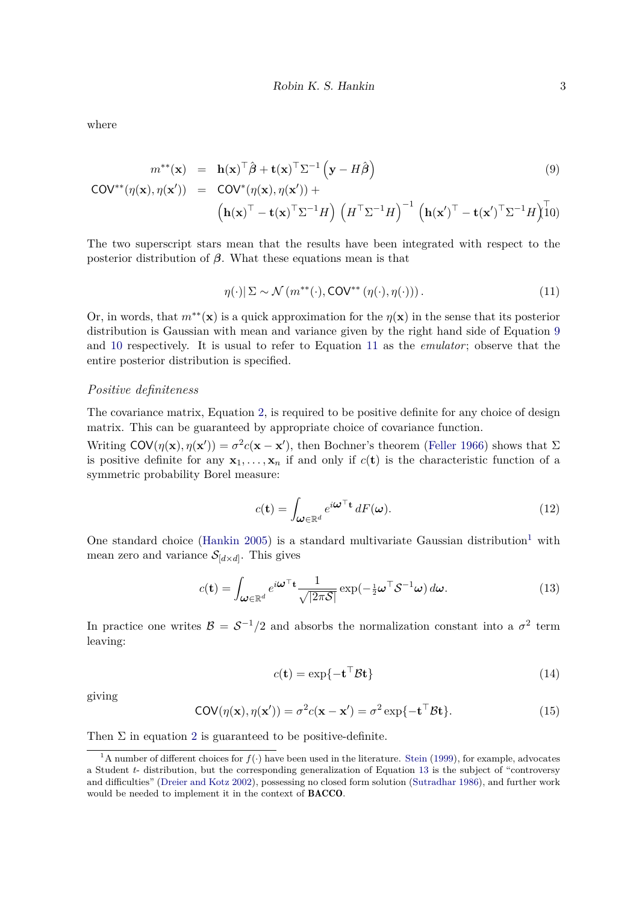where

<span id="page-2-0"></span>
$$
m^{**}(\mathbf{x}) = \mathbf{h}(\mathbf{x})^{\top} \hat{\boldsymbol{\beta}} + \mathbf{t}(\mathbf{x})^{\top} \Sigma^{-1} (\mathbf{y} - H\hat{\boldsymbol{\beta}})
$$
(9)  
\n
$$
COV^{**}(\eta(\mathbf{x}), \eta(\mathbf{x}')) = COV^{*}(\eta(\mathbf{x}), \eta(\mathbf{x}')) +
$$
\n
$$
(\mathbf{h}(\mathbf{x})^{\top} - \mathbf{t}(\mathbf{x})^{\top} \Sigma^{-1} H) (\boldsymbol{H}^{\top} \Sigma^{-1} H)^{-1} (\mathbf{h}(\mathbf{x}')^{\top} - \mathbf{t}(\mathbf{x}')^{\top} \Sigma^{-1} H)^{\top} \mathbf{0}
$$

The two superscript stars mean that the results have been integrated with respect to the posterior distribution of *β*. What these equations mean is that

<span id="page-2-1"></span>
$$
\eta(\cdot)|\Sigma \sim \mathcal{N}\left(m^{**}(\cdot), \text{COV}^{**}\left(\eta(\cdot), \eta(\cdot)\right)\right). \tag{11}
$$

Or, in words, that  $m^{**}(\mathbf{x})$  is a quick approximation for the  $\eta(\mathbf{x})$  in the sense that its posterior distribution is Gaussian with mean and variance given by the right hand side of Equation [9](#page-2-0) and [10](#page-2-0) respectively. It is usual to refer to Equation [11](#page-2-1) as the *emulator*; observe that the entire posterior distribution is specified.

#### *Positive definiteness*

The covariance matrix, Equation [2,](#page-1-1) is required to be positive definite for any choice of design matrix. This can be guaranteed by appropriate choice of covariance function.

Writing  $COV(\eta(\mathbf{x}), \eta(\mathbf{x}')) = \sigma^2 c(\mathbf{x} - \mathbf{x}')$ , then Bochner's theorem [\(Feller 1966\)](#page-19-5) shows that  $\Sigma$ is positive definite for any  $x_1, \ldots, x_n$  if and only if  $c(\mathbf{t})$  is the characteristic function of a symmetric probability Borel measure:

<span id="page-2-5"></span>
$$
c(\mathbf{t}) = \int_{\boldsymbol{\omega} \in \mathbb{R}^d} e^{i\boldsymbol{\omega}^\top \mathbf{t}} dF(\boldsymbol{\omega}).
$$
\n(12)

One standard choice [\(Hankin 2005\)](#page-19-0) is a standard multivariate Gaussian distribution<sup>[1](#page-2-2)</sup> with mean zero and variance  $\mathcal{S}_{[d \times d]}$ . This gives

<span id="page-2-3"></span>
$$
c(\mathbf{t}) = \int_{\boldsymbol{\omega} \in \mathbb{R}^d} e^{i\boldsymbol{\omega}^\top \mathbf{t}} \frac{1}{\sqrt{|2\pi\mathcal{S}|}} \exp(-\frac{1}{2}\boldsymbol{\omega}^\top \mathcal{S}^{-1} \boldsymbol{\omega}) d\boldsymbol{\omega}.
$$
 (13)

In practice one writes  $\mathcal{B} = \mathcal{S}^{-1}/2$  and absorbs the normalization constant into a  $\sigma^2$  term leaving:

$$
c(\mathbf{t}) = \exp\{-\mathbf{t}^\top \mathcal{B} \mathbf{t}\}\tag{14}
$$

giving

<span id="page-2-4"></span>
$$
COV(\eta(\mathbf{x}), \eta(\mathbf{x}')) = \sigma^2 c(\mathbf{x} - \mathbf{x}') = \sigma^2 \exp\{-\mathbf{t}^\top \mathcal{B} \mathbf{t}\}.
$$
 (15)

Then  $\Sigma$  in equation [2](#page-1-1) is guaranteed to be positive-definite.

<span id="page-2-2"></span><sup>&</sup>lt;sup>1</sup>A number of different choices for  $f(.)$  have been used in the literature. [Stein](#page-20-1) [\(1999\)](#page-20-1), for example, advocates a Student *t*- distribution, but the corresponding generalization of Equation [13](#page-2-3) is the subject of "controversy and difficulties" [\(Dreier and Kotz 2002\)](#page-19-6), possessing no closed form solution [\(Sutradhar 1986\)](#page-20-2), and further work would be needed to implement it in the context of BACCO.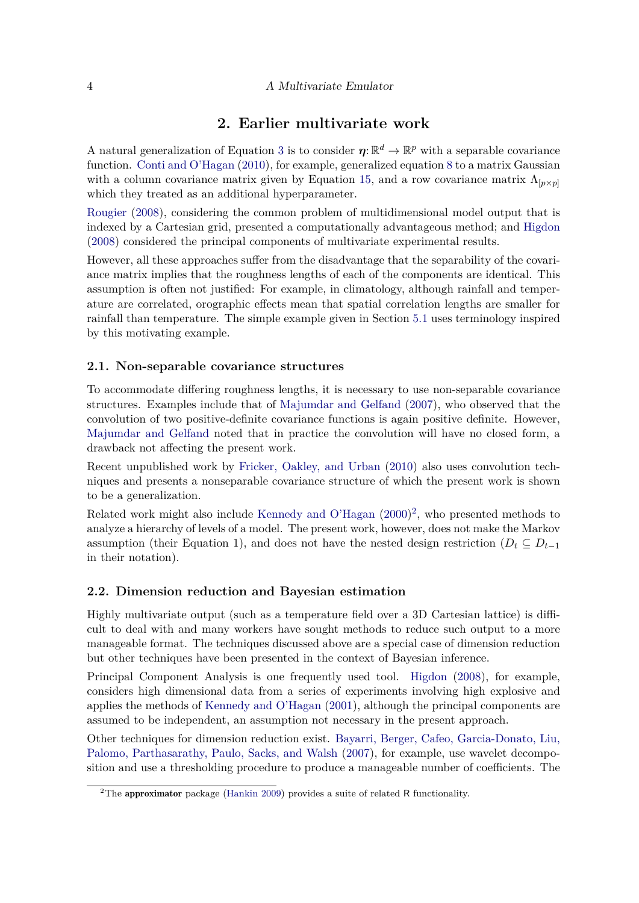## **2. Earlier multivariate work**

A natural generalization of Equation [3](#page-1-2) is to consider  $\eta: \mathbb{R}^d \to \mathbb{R}^p$  with a separable covariance function. [Conti and O'Hagan](#page-18-3) [\(2010\)](#page-18-3), for example, generalized equation [8](#page-1-3) to a matrix Gaussian with a column covariance matrix given by Equation [15,](#page-2-4) and a row covariance matrix  $\Lambda_{p\times p}$ which they treated as an additional hyperparameter.

[Rougier](#page-20-3) [\(2008\)](#page-20-3), considering the common problem of multidimensional model output that is indexed by a Cartesian grid, presented a computationally advantageous method; and [Higdon](#page-19-7) [\(2008\)](#page-19-7) considered the principal components of multivariate experimental results.

However, all these approaches suffer from the disadvantage that the separability of the covariance matrix implies that the roughness lengths of each of the components are identical. This assumption is often not justified: For example, in climatology, although rainfall and temperature are correlated, orographic effects mean that spatial correlation lengths are smaller for rainfall than temperature. The simple example given in Section [5.1](#page-9-0) uses terminology inspired by this motivating example.

### **2.1. Non-separable covariance structures**

To accommodate differing roughness lengths, it is necessary to use non-separable covariance structures. Examples include that of [Majumdar and Gelfand](#page-19-8) [\(2007\)](#page-19-8), who observed that the convolution of two positive-definite covariance functions is again positive definite. However, [Majumdar and Gelfand](#page-19-8) noted that in practice the convolution will have no closed form, a drawback not affecting the present work.

Recent unpublished work by [Fricker, Oakley, and Urban](#page-19-9) [\(2010\)](#page-19-9) also uses convolution techniques and presents a nonseparable covariance structure of which the present work is shown to be a generalization.

Related work might also include [Kennedy and O'Hagan](#page-19-10) [\(2000\)](#page-19-10) [2](#page-3-0) , who presented methods to analyze a hierarchy of levels of a model. The present work, however, does not make the Markov assumption (their Equation 1), and does not have the nested design restriction ( $D_t \subseteq D_{t-1}$ in their notation).

### **2.2. Dimension reduction and Bayesian estimation**

Highly multivariate output (such as a temperature field over a 3D Cartesian lattice) is difficult to deal with and many workers have sought methods to reduce such output to a more manageable format. The techniques discussed above are a special case of dimension reduction but other techniques have been presented in the context of Bayesian inference.

Principal Component Analysis is one frequently used tool. [Higdon](#page-19-7) [\(2008\)](#page-19-7), for example, considers high dimensional data from a series of experiments involving high explosive and applies the methods of [Kennedy and O'Hagan](#page-19-11) [\(2001\)](#page-19-11), although the principal components are assumed to be independent, an assumption not necessary in the present approach.

Other techniques for dimension reduction exist. [Bayarri, Berger, Cafeo, Garcia-Donato, Liu,](#page-18-4) [Palomo, Parthasarathy, Paulo, Sacks, and Walsh](#page-18-4) [\(2007\)](#page-18-4), for example, use wavelet decomposition and use a thresholding procedure to produce a manageable number of coefficients. The

<span id="page-3-0"></span> $2$ The approximator package [\(Hankin 2009\)](#page-19-12) provides a suite of related R functionality.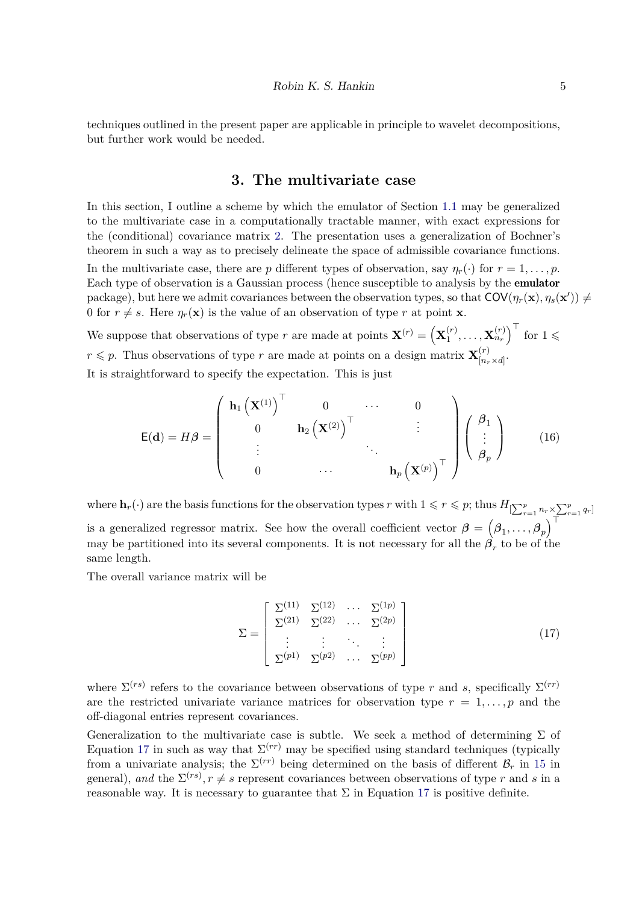techniques outlined in the present paper are applicable in principle to wavelet decompositions, but further work would be needed.

## **3. The multivariate case**

In this section, I outline a scheme by which the emulator of Section [1.1](#page-1-4) may be generalized to the multivariate case in a computationally tractable manner, with exact expressions for the (conditional) covariance matrix [2.](#page-1-1) The presentation uses a generalization of Bochner's theorem in such a way as to precisely delineate the space of admissible covariance functions.

In the multivariate case, there are *p* different types of observation, say  $\eta_r(\cdot)$  for  $r = 1, \ldots, p$ . Each type of observation is a Gaussian process (hence susceptible to analysis by the emulator package), but here we admit covariances between the observation types, so that  $COV(\eta_r(\mathbf{x}), \eta_s(\mathbf{x}')) \neq 0$ 0 for  $r \neq s$ . Here  $\eta_r(\mathbf{x})$  is the value of an observation of type *r* at point **x**.

We suppose that observations of type *r* are made at points  $\mathbf{X}^{(r)} = (\mathbf{X}_1^{(r)})$  $\left[\begin{matrix} \mathbf{r} \ 1 \end{matrix}\right], \ldots, \mathbf{X}_{n_r}^{(r)}\right)^\top$  for  $1 \leqslant r$  $r \leqslant p$ . Thus observations of type *r* are made at points on a design matrix  $\mathbf{X}_{n}^{(r)}$  $[n_r \times d]$ It is straightforward to specify the expectation. This is just

<span id="page-4-1"></span>
$$
\mathsf{E}(\mathbf{d}) = H\boldsymbol{\beta} = \begin{pmatrix} \mathbf{h}_1 \left( \mathbf{X}^{(1)} \right)^{\top} & 0 & \cdots & 0 \\ 0 & \mathbf{h}_2 \left( \mathbf{X}^{(2)} \right)^{\top} & \vdots \\ \vdots & \ddots & \ddots & \vdots \\ 0 & \cdots & \mathbf{h}_p \left( \mathbf{X}^{(p)} \right)^{\top} \end{pmatrix} \begin{pmatrix} \boldsymbol{\beta}_1 \\ \vdots \\ \boldsymbol{\beta}_p \end{pmatrix}
$$
(16)

where  $\mathbf{h}_r(\cdot)$  are the basis functions for the observation types *r* with  $1 \leq r \leq p$ ; thus  $H_{\left[\sum_{r=1}^p n_r \times \sum_{r=1}^p q_r\right]}$ is a generalized regressor matrix. See how the overall coefficient vector  $\boldsymbol{\beta} = (\beta_1, \ldots, \beta_p)^\top$ may be partitioned into its several components. It is not necessary for all the  $\beta_r$  to be of the same length.

The overall variance matrix will be

<span id="page-4-0"></span>
$$
\Sigma = \begin{bmatrix} \Sigma^{(11)} & \Sigma^{(12)} & \cdots & \Sigma^{(1p)} \\ \Sigma^{(21)} & \Sigma^{(22)} & \cdots & \Sigma^{(2p)} \\ \vdots & \vdots & \ddots & \vdots \\ \Sigma^{(p1)} & \Sigma^{(p2)} & \cdots & \Sigma^{(pp)} \end{bmatrix}
$$
(17)

where  $\Sigma^{(rs)}$  refers to the covariance between observations of type *r* and *s*, specifically  $\Sigma^{(rr)}$ are the restricted univariate variance matrices for observation type  $r = 1, \ldots, p$  and the off-diagonal entries represent covariances.

Generalization to the multivariate case is subtle. We seek a method of determining  $\Sigma$  of Equation [17](#page-4-0) in such as way that  $\Sigma^{(rr)}$  may be specified using standard techniques (typically from a univariate analysis; the  $\Sigma^{(rr)}$  being determined on the basis of different  $\mathcal{B}_r$  in [15](#page-2-4) in general), and the  $\Sigma^{(rs)}$ ,  $r \neq s$  represent covariances between observations of type r and s in a reasonable way. It is necessary to guarantee that  $\Sigma$  in Equation [17](#page-4-0) is positive definite.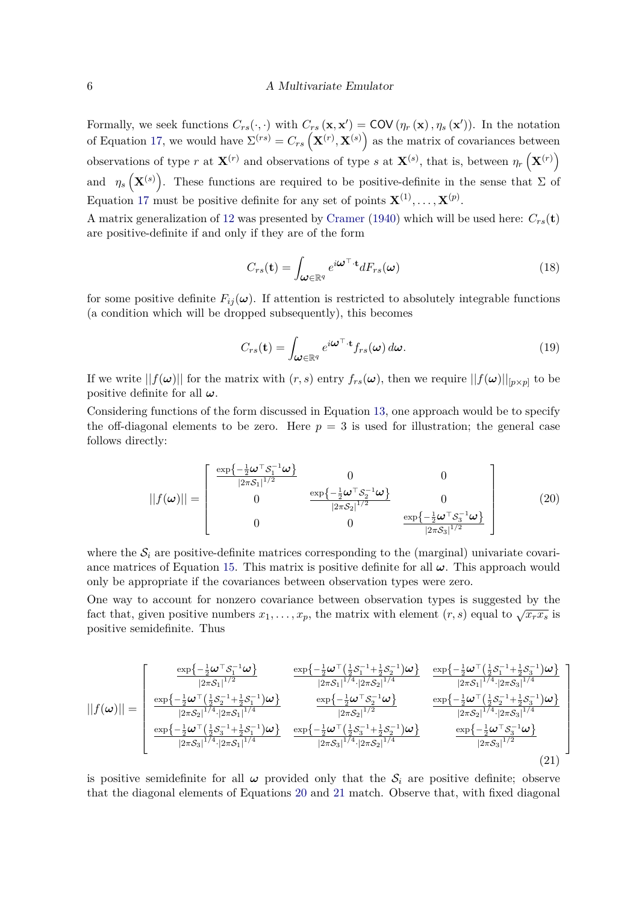Formally, we seek functions  $C_{rs}(\cdot, \cdot)$  with  $C_{rs}(\mathbf{x}, \mathbf{x}') = \text{COV}(\eta_r(\mathbf{x}), \eta_s(\mathbf{x}'))$ . In the notation of Equation [17,](#page-4-0) we would have  $\Sigma^{(rs)} = C_{rs} (\mathbf{X}^{(r)}, \mathbf{X}^{(s)})$  as the matrix of covariances between observations of type *r* at  $\mathbf{X}^{(r)}$  and observations of type *s* at  $\mathbf{X}^{(s)}$ , that is, between  $\eta_r\left(\mathbf{X}^{(r)}\right)$ and  $\eta_s(\mathbf{X}^{(s)})$ . These functions are required to be positive-definite in the sense that  $\Sigma$  of Equation [17](#page-4-0) must be positive definite for any set of points  $\mathbf{X}^{(1)}, \ldots, \mathbf{X}^{(p)}$ .

A matrix generalization of [12](#page-2-5) was presented by [Cramer](#page-18-5) [\(1940\)](#page-18-5) which will be used here:  $C_{rs}(\mathbf{t})$ are positive-definite if and only if they are of the form

$$
C_{rs}(\mathbf{t}) = \int_{\mathcal{U} \in \mathbb{R}^q} e^{i\mathcal{U}^\top \cdot \mathbf{t}} dF_{rs}(\mathcal{U}) \tag{18}
$$

for some positive definite  $F_{ij}(\omega)$ . If attention is restricted to absolutely integrable functions (a condition which will be dropped subsequently), this becomes

$$
C_{rs}(\mathbf{t}) = \int_{\boldsymbol{\omega} \in \mathbb{R}^q} e^{i\boldsymbol{\omega}^\top \cdot \mathbf{t}} f_{rs}(\boldsymbol{\omega}) d\boldsymbol{\omega}.
$$
 (19)

If we write  $||f(\omega)||$  for the matrix with  $(r, s)$  entry  $f_{rs}(\omega)$ , then we require  $||f(\omega)||_{[p \times p]}$  to be positive definite for all *ω*.

Considering functions of the form discussed in Equation [13,](#page-2-3) one approach would be to specify the off-diagonal elements to be zero. Here  $p = 3$  is used for illustration; the general case follows directly:

<span id="page-5-0"></span>
$$
||f(\omega)|| = \begin{bmatrix} \frac{\exp\left\{-\frac{1}{2}\omega^{\top}S_{1}^{-1}\omega\right\}}{|2\pi S_{1}|^{1/2}} & 0 & 0\\ 0 & \frac{\exp\left\{-\frac{1}{2}\omega^{\top}S_{2}^{-1}\omega\right\}}{|2\pi S_{2}|^{1/2}} & 0\\ 0 & 0 & \frac{\exp\left\{-\frac{1}{2}\omega^{\top}S_{3}^{-1}\omega\right\}}{|2\pi S_{3}|^{1/2}} \end{bmatrix}
$$
(20)

where the  $S_i$  are positive-definite matrices corresponding to the (marginal) univariate covari-ance matrices of Equation [15.](#page-2-4) This matrix is positive definite for all  $\omega$ . This approach would only be appropriate if the covariances between observation types were zero.

One way to account for nonzero covariance between observation types is suggested by the fact that, given positive numbers  $x_1, \ldots, x_p$ , the matrix with element  $(r, s)$  equal to  $\sqrt{x_r x_s}$  is positive semidefinite. Thus

<span id="page-5-1"></span>
$$
||f(\omega)|| = \begin{bmatrix} \frac{\exp\left\{-\frac{1}{2}\omega^{\top}S_{1}^{-1}\omega\right\}}{|2\pi S_{1}|^{1/2}} & \frac{\exp\left\{-\frac{1}{2}\omega^{\top}\left(\frac{1}{2}S_{1}^{-1}+\frac{1}{2}S_{2}^{-1}\right)\omega\right\}}{|2\pi S_{1}|^{1/4}\cdot|2\pi S_{2}|^{1/4}} & \frac{\exp\left\{-\frac{1}{2}\omega^{\top}\left(\frac{1}{2}S_{1}^{-1}+\frac{1}{2}S_{3}^{-1}\right)\omega\right\}}{|2\pi S_{1}|^{1/4}\cdot|2\pi S_{3}|^{1/4}} \\ \frac{\exp\left\{-\frac{1}{2}\omega^{\top}\left(\frac{1}{2}S_{2}^{-1}+\frac{1}{2}S_{1}^{-1}\right)\omega\right\}}{|2\pi S_{2}|^{1/4}} & \frac{\exp\left\{-\frac{1}{2}\omega^{\top}S_{2}^{-1}\omega\right\}}{|2\pi S_{2}|^{1/2}} & \frac{\exp\left\{-\frac{1}{2}\omega^{\top}\left(\frac{1}{2}S_{2}^{-1}+\frac{1}{2}S_{3}^{-1}\right)\omega\right\}}{|2\pi S_{2}|^{1/4}\cdot|2\pi S_{3}|^{1/4}} \\ \frac{\exp\left\{-\frac{1}{2}\omega^{\top}\left(\frac{1}{2}S_{3}^{-1}+\frac{1}{2}S_{1}^{-1}\right)\omega\right\}}{|2\pi S_{3}|^{1/4}\cdot|2\pi S_{2}|^{1/4}} & \frac{\exp\left\{-\frac{1}{2}\omega^{\top}\left(\frac{1}{2}S_{3}^{-1}+\frac{1}{2}S_{2}^{-1}\right)\omega\right\}}{|2\pi S_{3}|^{1/4}} & \frac{\exp\left\{-\frac{1}{2}\omega^{\top}S_{3}^{-1}\omega\right\}}{|2\pi S_{3}|^{1/2}} \end{bmatrix} \tag{21}
$$

is positive semidefinite for all  $\omega$  provided only that the  $S_i$  are positive definite; observe that the diagonal elements of Equations [20](#page-5-0) and [21](#page-5-1) match. Observe that, with fixed diagonal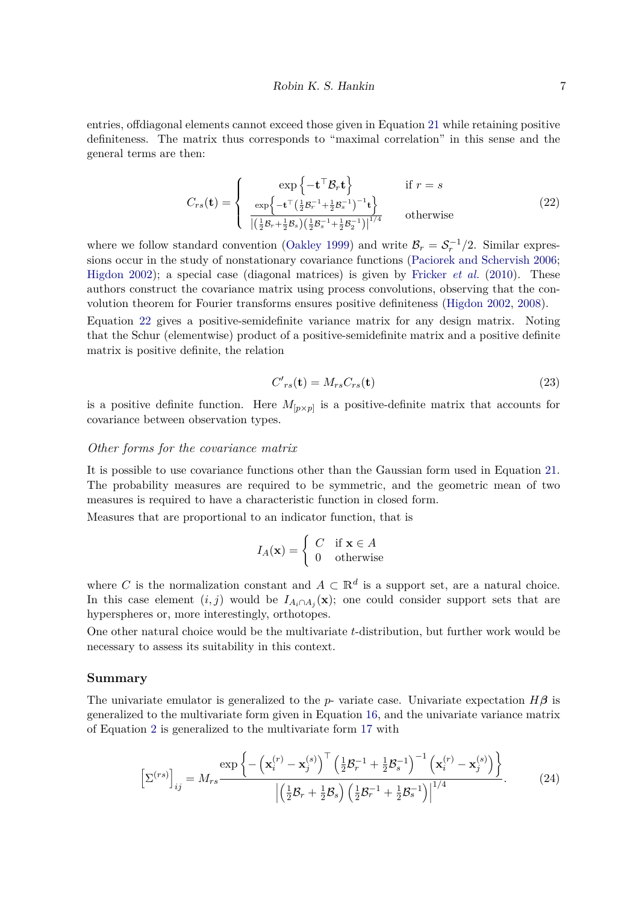entries, offdiagonal elements cannot exceed those given in Equation [21](#page-5-1) while retaining positive definiteness. The matrix thus corresponds to "maximal correlation" in this sense and the general terms are then:

<span id="page-6-0"></span>
$$
C_{rs}(\mathbf{t}) = \begin{cases} \exp\left\{-\mathbf{t}^{\top}\mathcal{B}_{r}\mathbf{t}\right\} & \text{if } r = s\\ \frac{\exp\left\{-\mathbf{t}^{\top}\left(\frac{1}{2}\mathcal{B}_{r}^{-1} + \frac{1}{2}\mathcal{B}_{s}^{-1}\right)^{-1}\mathbf{t}\right\}}{\left|\left(\frac{1}{2}\mathcal{B}_{r} + \frac{1}{2}\mathcal{B}_{s}\right)\left(\frac{1}{2}\mathcal{B}_{s}^{-1} + \frac{1}{2}\mathcal{B}_{2}^{-1}\right)\right|^{1/4}} & \text{otherwise} \end{cases}
$$
(22)

where we follow standard convention [\(Oakley 1999\)](#page-19-1) and write  $\mathcal{B}_r = \mathcal{S}_r^{-1}/2$ . Similar expressions occur in the study of nonstationary covariance functions [\(Paciorek and Schervish 2006;](#page-19-13) [Higdon 2002\)](#page-19-14); a special case (diagonal matrices) is given by [Fricker](#page-19-9) *et al.* [\(2010\)](#page-19-9). These authors construct the covariance matrix using process convolutions, observing that the convolution theorem for Fourier transforms ensures positive definiteness [\(Higdon 2002,](#page-19-14) [2008\)](#page-19-7).

Equation [22](#page-6-0) gives a positive-semidefinite variance matrix for any design matrix. Noting that the Schur (elementwise) product of a positive-semidefinite matrix and a positive definite matrix is positive definite, the relation

<span id="page-6-1"></span>
$$
C'_{rs}(\mathbf{t}) = M_{rs}C_{rs}(\mathbf{t})
$$
\n(23)

is a positive definite function. Here  $M_{[p \times p]}$  is a positive-definite matrix that accounts for covariance between observation types.

#### *Other forms for the covariance matrix*

It is possible to use covariance functions other than the Gaussian form used in Equation [21.](#page-5-1) The probability measures are required to be symmetric, and the geometric mean of two measures is required to have a characteristic function in closed form.

Measures that are proportional to an indicator function, that is

$$
I_A(\mathbf{x}) = \begin{cases} C & \text{if } \mathbf{x} \in A \\ 0 & \text{otherwise} \end{cases}
$$

where *C* is the normalization constant and  $A \subset \mathbb{R}^d$  is a support set, are a natural choice. In this case element  $(i, j)$  would be  $I_{A_i \cap A_j}(\mathbf{x})$ ; one could consider support sets that are hyperspheres or, more interestingly, orthotopes.

One other natural choice would be the multivariate *t*-distribution, but further work would be necessary to assess its suitability in this context.

### **Summary**

The univariate emulator is generalized to the *p*- variate case. Univariate expectation  $H\beta$  is generalized to the multivariate form given in Equation [16,](#page-4-1) and the univariate variance matrix of Equation [2](#page-1-1) is generalized to the multivariate form [17](#page-4-0) with

<span id="page-6-2"></span>
$$
\left[\Sigma^{(rs)}\right]_{ij} = M_{rs} \frac{\exp\left\{-\left(\mathbf{x}_i^{(r)} - \mathbf{x}_j^{(s)}\right)^{\top} \left(\frac{1}{2} \mathcal{B}_r^{-1} + \frac{1}{2} \mathcal{B}_s^{-1}\right)^{-1} \left(\mathbf{x}_i^{(r)} - \mathbf{x}_j^{(s)}\right)\right\}}{\left|\left(\frac{1}{2} \mathcal{B}_r + \frac{1}{2} \mathcal{B}_s\right) \left(\frac{1}{2} \mathcal{B}_r^{-1} + \frac{1}{2} \mathcal{B}_s^{-1}\right)\right|^{1/4}}.
$$
 (24)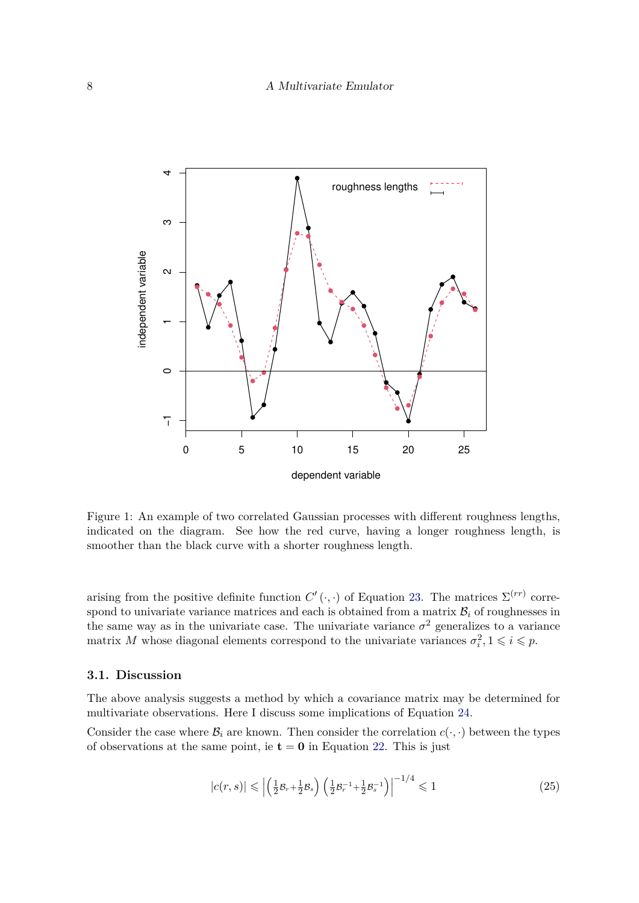

<span id="page-7-0"></span>Figure 1: An example of two correlated Gaussian processes with different roughness lengths, indicated on the diagram. See how the red curve, having a longer roughness length, is smoother than the black curve with a shorter roughness length.

arising from the positive definite function  $C'(\cdot, \cdot)$  of Equation [23.](#page-6-1) The matrices  $\Sigma^{(rr)}$  correspond to univariate variance matrices and each is obtained from a matrix  $B_i$  of roughnesses in the same way as in the univariate case. The univariate variance  $\sigma^2$  generalizes to a variance matrix *M* whose diagonal elements correspond to the univariate variances  $\sigma_i^2$ ,  $1 \leqslant i \leqslant p$ .

### **3.1. Discussion**

The above analysis suggests a method by which a covariance matrix may be determined for multivariate observations. Here I discuss some implications of Equation [24.](#page-6-2)

Consider the case where  $\mathcal{B}_i$  are known. Then consider the correlation  $c(\cdot, \cdot)$  between the types of observations at the same point, ie  $t = 0$  in Equation [22.](#page-6-0) This is just

$$
|c(r,s)| \leqslant \left| \left( \frac{1}{2} \mathcal{B}_r + \frac{1}{2} \mathcal{B}_s \right) \left( \frac{1}{2} \mathcal{B}_r^{-1} + \frac{1}{2} \mathcal{B}_s^{-1} \right) \right|^{-1/4} \leqslant 1 \tag{25}
$$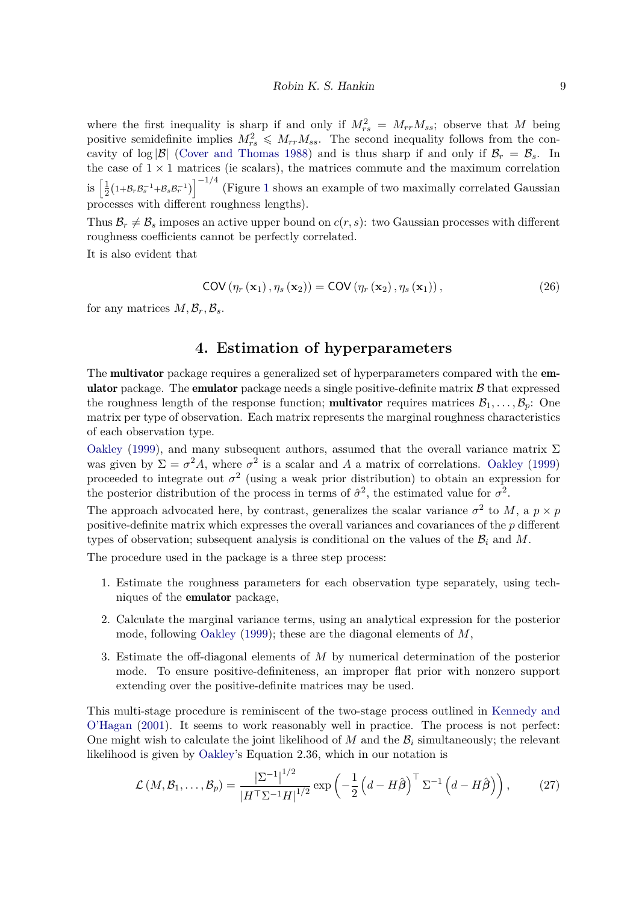where the first inequality is sharp if and only if  $M_{rs}^2 = M_{rr}M_{ss}$ ; observe that *M* being positive semidefinite implies  $M_{rs}^2 \leq M_{rr}M_{ss}$ . The second inequality follows from the concavity of  $\log |\mathcal{B}|$  [\(Cover and Thomas 1988\)](#page-18-6) and is thus sharp if and only if  $\mathcal{B}_r = \mathcal{B}_s$ . In the case of  $1 \times 1$  matrices (ie scalars), the matrices commute and the maximum correlation is  $\frac{1}{2}$  $\frac{1}{2}(1+\mathcal{B}_r\mathcal{B}_s^{-1}+\mathcal{B}_s\mathcal{B}_r^{-1})\Big]^{-1/4}$  $\frac{1}{2}(1+\mathcal{B}_r\mathcal{B}_s^{-1}+\mathcal{B}_s\mathcal{B}_r^{-1})\Big]^{-1/4}$  $\frac{1}{2}(1+\mathcal{B}_r\mathcal{B}_s^{-1}+\mathcal{B}_s\mathcal{B}_r^{-1})\Big]^{-1/4}$  (Figure 1 shows an example of two maximally correlated Gaussian processes with different roughness lengths).

Thus  $\mathcal{B}_r \neq \mathcal{B}_s$  imposes an active upper bound on  $c(r, s)$ : two Gaussian processes with different roughness coefficients cannot be perfectly correlated.

It is also evident that

$$
COV(\eta_r(\mathbf{x}_1), \eta_s(\mathbf{x}_2)) = COV(\eta_r(\mathbf{x}_2), \eta_s(\mathbf{x}_1)),
$$
\n(26)

for any matrices  $M, \mathcal{B}_r, \mathcal{B}_s$ .

# **4. Estimation of hyperparameters**

The **multivator** package requires a generalized set of hyperparameters compared with the **em**ulator package. The emulator package needs a single positive-definite matrix  $\beta$  that expressed the roughness length of the response function; **multivator** requires matrices  $\mathcal{B}_1, \ldots, \mathcal{B}_p$ : One matrix per type of observation. Each matrix represents the marginal roughness characteristics of each observation type.

[Oakley](#page-19-1) [\(1999\)](#page-19-1), and many subsequent authors, assumed that the overall variance matrix  $\Sigma$ was given by  $\Sigma = \sigma^2 A$ , where  $\sigma^2$  is a scalar and *A* a matrix of correlations. [Oakley](#page-19-1) [\(1999\)](#page-19-1) proceeded to integrate out  $\sigma^2$  (using a weak prior distribution) to obtain an expression for the posterior distribution of the process in terms of  $\hat{\sigma}^2$ , the estimated value for  $\sigma^2$ .

The approach advocated here, by contrast, generalizes the scalar variance  $\sigma^2$  to *M*, a  $p \times p$ positive-definite matrix which expresses the overall variances and covariances of the *p* different types of observation; subsequent analysis is conditional on the values of the  $\mathcal{B}_i$  and M.

The procedure used in the package is a three step process:

- 1. Estimate the roughness parameters for each observation type separately, using techniques of the emulator package,
- 2. Calculate the marginal variance terms, using an analytical expression for the posterior mode, following [Oakley](#page-19-1) [\(1999\)](#page-19-1); these are the diagonal elements of *M*,
- 3. Estimate the off-diagonal elements of *M* by numerical determination of the posterior mode. To ensure positive-definiteness, an improper flat prior with nonzero support extending over the positive-definite matrices may be used.

This multi-stage procedure is reminiscent of the two-stage process outlined in [Kennedy and](#page-19-11) [O'Hagan](#page-19-11) [\(2001\)](#page-19-11). It seems to work reasonably well in practice. The process is not perfect: One might wish to calculate the joint likelihood of  $M$  and the  $\mathcal{B}_i$  simultaneously; the relevant likelihood is given by [Oakley'](#page-19-1)s Equation 2.36, which in our notation is

<span id="page-8-0"></span>
$$
\mathcal{L}(M,\mathcal{B}_1,\ldots,\mathcal{B}_p) = \frac{\left|\Sigma^{-1}\right|^{1/2}}{|H^\top \Sigma^{-1} H|^{1/2}} \exp\left(-\frac{1}{2}\left(d - H\hat{\boldsymbol{\beta}}\right)^\top \Sigma^{-1}\left(d - H\hat{\boldsymbol{\beta}}\right)\right),\tag{27}
$$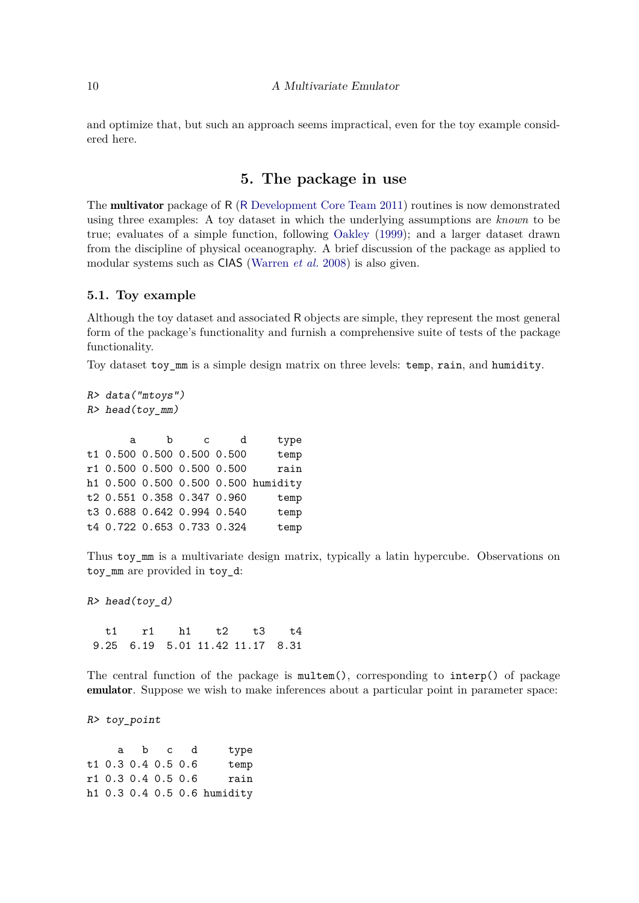and optimize that, but such an approach seems impractical, even for the toy example considered here.

# **5. The package in use**

The multivator package of R (R [Development Core Team 2011\)](#page-20-4) routines is now demonstrated using three examples: A toy dataset in which the underlying assumptions are *known* to be true; evaluates of a simple function, following [Oakley](#page-19-1) [\(1999\)](#page-19-1); and a larger dataset drawn from the discipline of physical oceanography. A brief discussion of the package as applied to modular systems such as CIAS [\(Warren](#page-20-0) *et al.* [2008\)](#page-20-0) is also given.

### <span id="page-9-0"></span>**5.1. Toy example**

Although the toy dataset and associated R objects are simple, they represent the most general form of the package's functionality and furnish a comprehensive suite of tests of the package functionality.

Toy dataset toy\_mm is a simple design matrix on three levels: temp, rain, and humidity.

| R> data("mtoys") |   |   |                    |                                                                                                                                       |  |  |
|------------------|---|---|--------------------|---------------------------------------------------------------------------------------------------------------------------------------|--|--|
|                  |   |   |                    |                                                                                                                                       |  |  |
|                  |   |   |                    |                                                                                                                                       |  |  |
| a                | b | C | d                  | type                                                                                                                                  |  |  |
|                  |   |   |                    | temp                                                                                                                                  |  |  |
|                  |   |   |                    | rain                                                                                                                                  |  |  |
|                  |   |   |                    |                                                                                                                                       |  |  |
|                  |   |   |                    | temp                                                                                                                                  |  |  |
|                  |   |   |                    | temp                                                                                                                                  |  |  |
|                  |   |   |                    | temp                                                                                                                                  |  |  |
|                  |   |   | $R$ > head(toy_mm) | t1 0.500 0.500 0.500 0.500<br>r1 0.500 0.500 0.500 0.500<br>h1 0.500 0.500 0.500 0.500 humidity<br>t4   0.722   0.653   0.733   0.324 |  |  |

Thus toy\_mm is a multivariate design matrix, typically a latin hypercube. Observations on toy\_mm are provided in toy\_d:

 $R$ > head(toy\_d)

t1 r1 h1 t2 t3 t4 9.25 6.19 5.01 11.42 11.17 8.31

The central function of the package is multem(), corresponding to interp() of package emulator. Suppose we wish to make inferences about a particular point in parameter space:

R> toy\_point

| type                        | a b c d |                    |  |
|-----------------------------|---------|--------------------|--|
| temp                        |         | t1 0.3 0.4 0.5 0.6 |  |
| rain                        |         | r1 0.3 0.4 0.5 0.6 |  |
| h1 0.3 0.4 0.5 0.6 humidity |         |                    |  |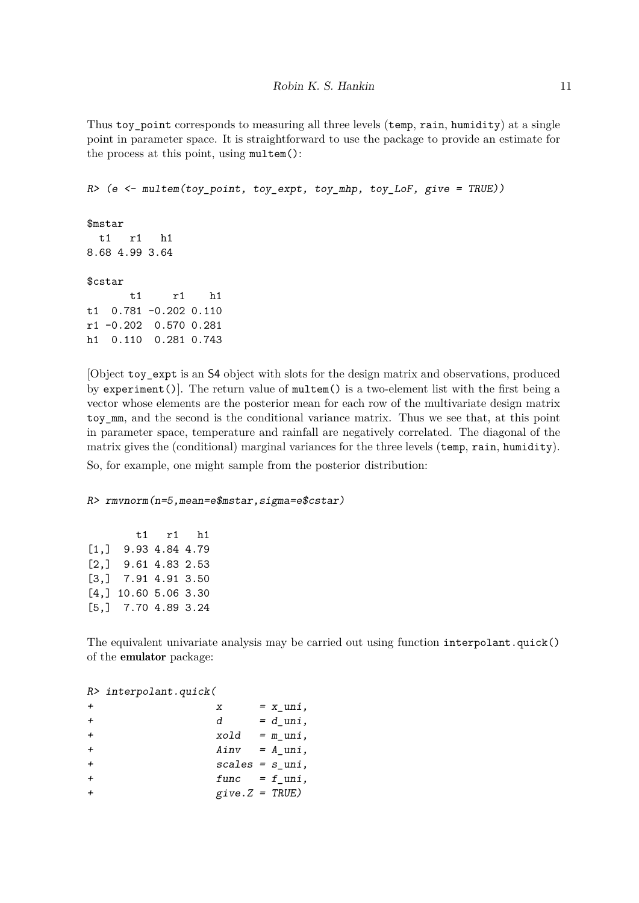Thus toy point corresponds to measuring all three levels (temp, rain, humidity) at a single point in parameter space. It is straightforward to use the package to provide an estimate for the process at this point, using multem():

 $R$  > (e <- multem(toy point, toy\_expt, toy\_mhp, toy\_LoF, give = TRUE))

\$mstar t1 r1 h1 8.68 4.99 3.64 \$cstar t1 r1 h1 t1 0.781 -0.202 0.110 r1 -0.202 0.570 0.281 h1 0.110 0.281 0.743

[Object toy\_expt is an S4 object with slots for the design matrix and observations, produced by experiment()]. The return value of multem() is a two-element list with the first being a vector whose elements are the posterior mean for each row of the multivariate design matrix toy\_mm, and the second is the conditional variance matrix. Thus we see that, at this point in parameter space, temperature and rainfall are negatively correlated. The diagonal of the matrix gives the (conditional) marginal variances for the three levels (temp, rain, humidity). So, for example, one might sample from the posterior distribution:

### R> rmvnorm(n=5,mean=e\$mstar,sigma=e\$cstar)

|                    |                       | $t1$ $r1$ $h1$ |  |
|--------------------|-----------------------|----------------|--|
| [1,]               |                       | 9.93 4.84 4.79 |  |
| [2,]               |                       | 9.61 4.83 2.53 |  |
| $\left[3, \right]$ | 7.91 4.91 3.50        |                |  |
| [4.1]              | 10.60 5.06 3.30       |                |  |
|                    | $[5,]$ 7.70 4.89 3.24 |                |  |

The equivalent univariate analysis may be carried out using function interpolant.quick() of the emulator package:

R> interpolant.quick(

|              | X                             | $= x$ uni,  |
|--------------|-------------------------------|-------------|
| $\leftarrow$ | d                             | $= d$ uni,  |
| $\leftarrow$ | xold                          | $= m$ _uni, |
|              | $Ainv = A_luni,$              |             |
|              | $scales = s$ <sub>uni</sub> , |             |
|              | $func = f_{uni}$ ,            |             |
|              | $give.Z = TRUE)$              |             |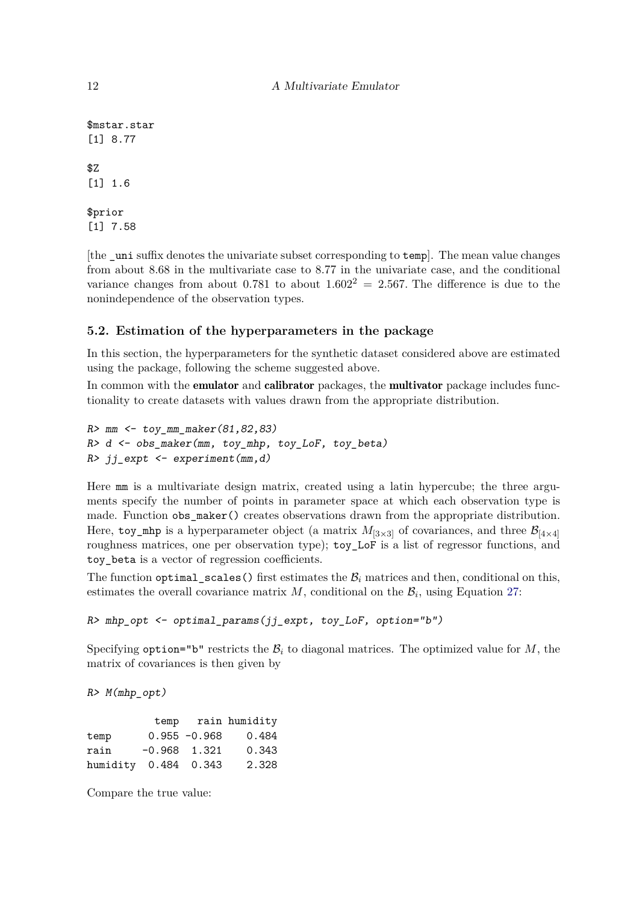```
$mstar.star
[1] 8.77
$Z
[1] 1.6
$prior
[1] 7.58
```
[the \_uni suffix denotes the univariate subset corresponding to temp]. The mean value changes from about 8.68 in the multivariate case to 8.77 in the univariate case, and the conditional variance changes from about 0.781 to about  $1.602^2 = 2.567$ . The difference is due to the nonindependence of the observation types.

## **5.2. Estimation of the hyperparameters in the package**

In this section, the hyperparameters for the synthetic dataset considered above are estimated using the package, following the scheme suggested above.

In common with the **emulator** and **calibrator** packages, the **multivator** package includes functionality to create datasets with values drawn from the appropriate distribution.

```
R > mm \leftarrow toy mm maker(81,82,83)R > d <- obs_maker(mm, toy_mhp, toy_LoF, toy_beta)
R> jj_expt <- experiment(mm,d)
```
Here mm is a multivariate design matrix, created using a latin hypercube; the three arguments specify the number of points in parameter space at which each observation type is made. Function obs\_maker() creates observations drawn from the appropriate distribution. Here, toy\_mhp is a hyperparameter object (a matrix  $M_{[3\times3]}$  of covariances, and three  $\mathcal{B}_{[4\times4]}$ roughness matrices, one per observation type); toy\_LoF is a list of regressor functions, and toy beta is a vector of regression coefficients.

The function optimal<sub>g</sub> scales () first estimates the  $B_i$  matrices and then, conditional on this, estimates the overall covariance matrix  $M$ , conditional on the  $B_i$ , using Equation [27:](#page-8-0)

```
R> mhp_opt <- optimal_params(jj_expt, toy_LoF, option="b")
```
Specifying option="b" restricts the  $\mathcal{B}_i$  to diagonal matrices. The optimized value for  $M$ , the matrix of covariances is then given by

R> M(mhp\_opt)

|                      |                |                 | temp rain humidity |
|----------------------|----------------|-----------------|--------------------|
| temp                 |                | $0.955 - 0.968$ | 0.484              |
| rain                 | $-0.968$ 1.321 |                 | 0.343              |
| humidity 0.484 0.343 |                |                 | 2.328              |

Compare the true value: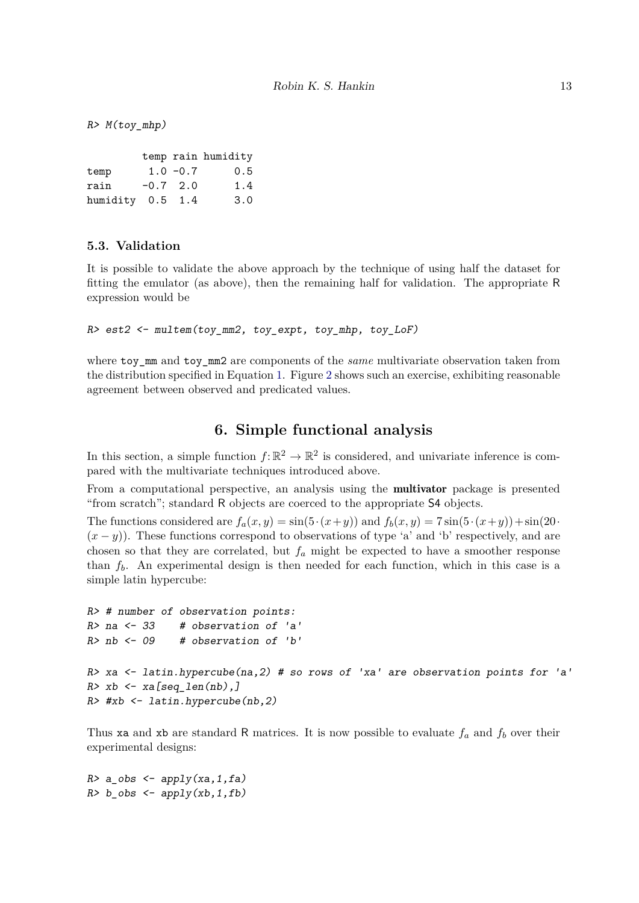$R$ >  $M(toy_mhp)$ 

|                  |             | temp rain humidity |
|------------------|-------------|--------------------|
| temp             | $1.0 - 0.7$ | 0.5                |
| rain             | $-0.7$ 2.0  | 1.4                |
| humidity 0.5 1.4 |             | 3.0                |

### **5.3. Validation**

It is possible to validate the above approach by the technique of using half the dataset for fitting the emulator (as above), then the remaining half for validation. The appropriate R expression would be

R> est2 <- multem(toy\_mm2, toy\_expt, toy\_mhp, toy\_LoF)

where toy mm and toy mm2 are components of the *same* multivariate observation taken from the distribution specified in Equation [1.](#page-1-0) Figure [2](#page-13-0) shows such an exercise, exhibiting reasonable agreement between observed and predicated values.

# **6. Simple functional analysis**

In this section, a simple function  $f: \mathbb{R}^2 \to \mathbb{R}^2$  is considered, and univariate inference is compared with the multivariate techniques introduced above.

From a computational perspective, an analysis using the **multivator** package is presented "from scratch"; standard R objects are coerced to the appropriate S4 objects.

The functions considered are  $f_a(x, y) = \sin(5 \cdot (x+y))$  and  $f_b(x, y) = 7 \sin(5 \cdot (x+y)) + \sin(20 \cdot (x+y))$  $(x - y)$ ). These functions correspond to observations of type 'a' and 'b' respectively, and are chosen so that they are correlated, but  $f_a$  might be expected to have a smoother response than *fb*. An experimental design is then needed for each function, which in this case is a simple latin hypercube:

```
R> # number of observation points:
R a \leftarrow 33 # observation of 'a'
R> nb \leftarrow 09 # observation of 'b'
R> xa <- latin.hypercube(na, 2) # so rows of 'xa' are observation points for 'a'
R> xb <- xa[seq len(nb),]
R \neq k \neq \leq l \leq l \leq l \leq \leq \leq \leq \leq \leq \leq \leq \leq \leq \leq \leq \leq \leq \leq \leq \leq \leq \leq \leq \leq \leq \leq \leq \leq \leq \leq \leq \le
```
Thus xa and xb are standard R matrices. It is now possible to evaluate *f<sup>a</sup>* and *f<sup>b</sup>* over their experimental designs:

 $R$ > a\_obs <- apply(xa,1,fa)  $R$ > b\_obs <- apply(xb,1,fb)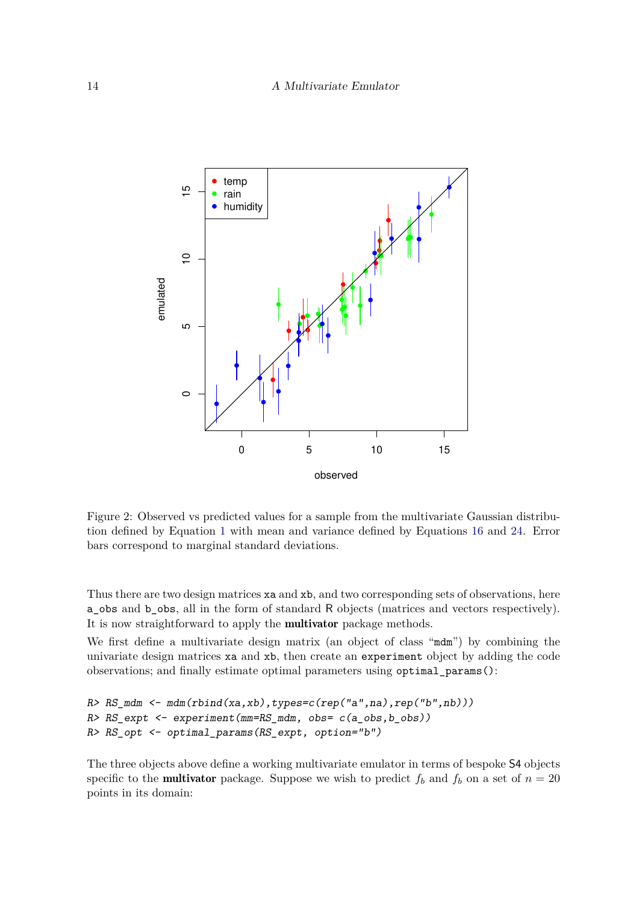

<span id="page-13-0"></span>Figure 2: Observed vs predicted values for a sample from the multivariate Gaussian distribution defined by Equation [1](#page-1-0) with mean and variance defined by Equations [16](#page-4-1) and [24.](#page-6-2) Error bars correspond to marginal standard deviations.

Thus there are two design matrices xa and xb, and two corresponding sets of observations, here a\_obs and b\_obs, all in the form of standard R objects (matrices and vectors respectively). It is now straightforward to apply the multivator package methods.

We first define a multivariate design matrix (an object of class "mdm") by combining the univariate design matrices xa and xb, then create an experiment object by adding the code observations; and finally estimate optimal parameters using optimal\_params():

```
R > RS_mdm \leftarrow mdm(rbind(xa,xb), types=c(rep("a",na),rep("b",nb)))R> RS_expt <- experiment(mm=RS_mdm, obs= c(a_obs,b_obs))
R> RS_opt <- optimal_params(RS_expt, option="b")
```
The three objects above define a working multivariate emulator in terms of bespoke S4 objects specific to the **multivator** package. Suppose we wish to predict  $f_b$  and  $f_b$  on a set of  $n = 20$ points in its domain: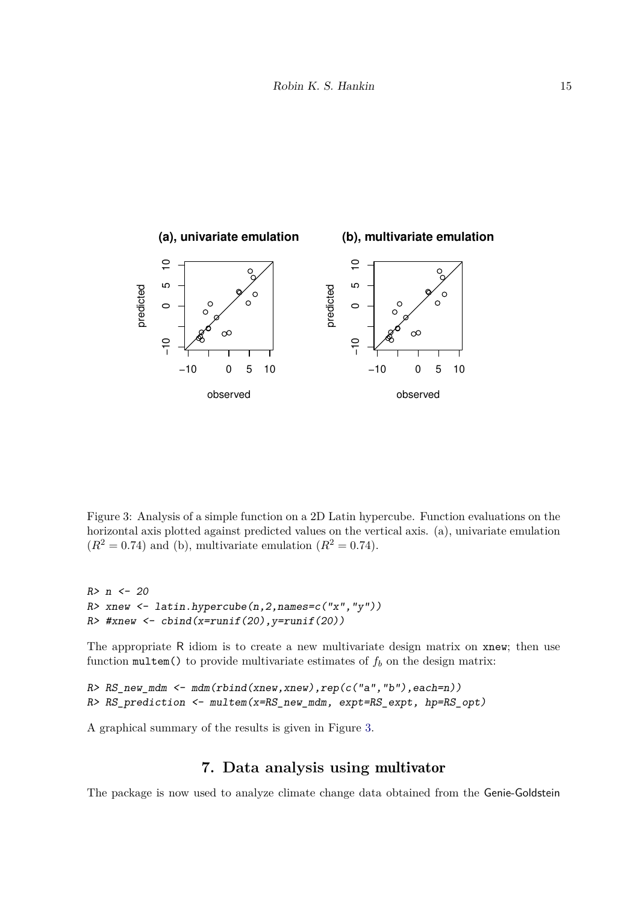

<span id="page-14-0"></span>Figure 3: Analysis of a simple function on a 2D Latin hypercube. Function evaluations on the horizontal axis plotted against predicted values on the vertical axis. (a), univariate emulation  $(R^2 = 0.74)$  and (b), multivariate emulation  $(R^2 = 0.74)$ .

```
R > n < -20R> xnew \leq latin.hypercube(n, 2, names=c("x", "y"))
R> #xnew \leftarrow cbind(x=runif(20), y=runif(20))
```
The appropriate R idiom is to create a new multivariate design matrix on xnew; then use function  $multem()$  to provide multivariate estimates of  $f<sub>b</sub>$  on the design matrix:

```
R> RS_new_mdm \leftarrow mdm(rbind(xnew,xnew),rep(c('a'', 'b''), each=n))R> RS_prediction <- multem(x=RS_new_mdm, expt=RS_expt, hp=RS_opt)
```
A graphical summary of the results is given in Figure [3.](#page-14-0)

# **7. Data analysis using** multivator

The package is now used to analyze climate change data obtained from the Genie-Goldstein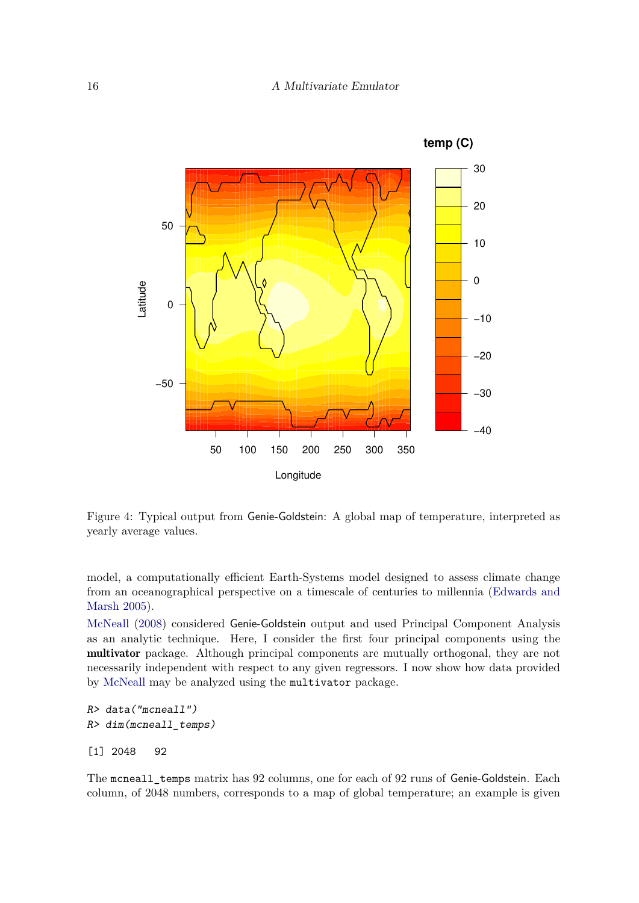

<span id="page-15-0"></span>Figure 4: Typical output from Genie-Goldstein: A global map of temperature, interpreted as yearly average values.

model, a computationally efficient Earth-Systems model designed to assess climate change from an oceanographical perspective on a timescale of centuries to millennia [\(Edwards and](#page-19-15) [Marsh 2005\)](#page-19-15).

[McNeall](#page-19-4) [\(2008\)](#page-19-4) considered Genie-Goldstein output and used Principal Component Analysis as an analytic technique. Here, I consider the first four principal components using the multivator package. Although principal components are mutually orthogonal, they are not necessarily independent with respect to any given regressors. I now show how data provided by [McNeall](#page-19-4) may be analyzed using the multivator package.

```
R> data("mcneall")
R> dim(mcneall_temps)
```
[1] 2048 92

The mcneall\_temps matrix has 92 columns, one for each of 92 runs of Genie-Goldstein. Each column, of 2048 numbers, corresponds to a map of global temperature; an example is given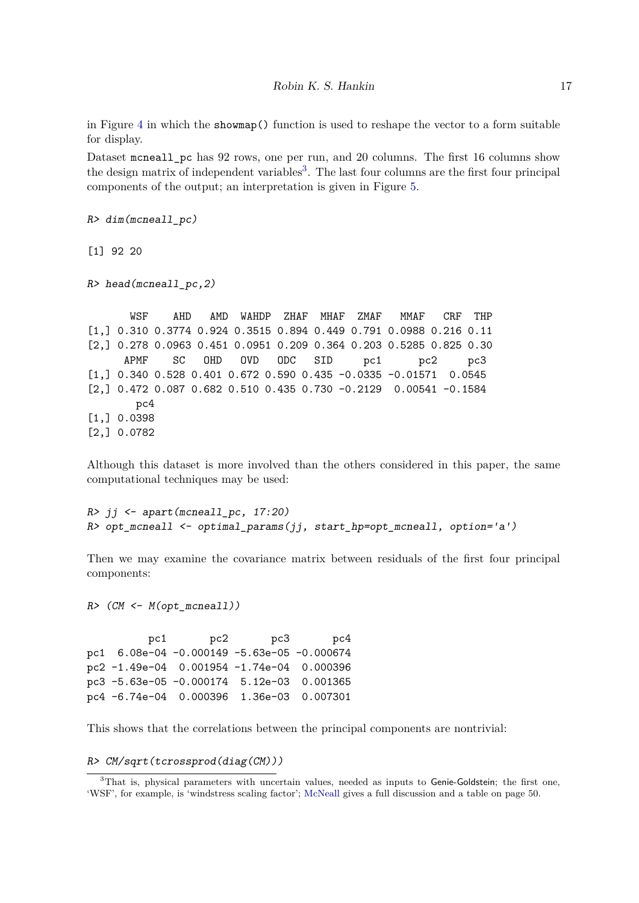in Figure [4](#page-15-0) in which the showmap() function is used to reshape the vector to a form suitable for display.

Dataset mcneall\_pc has 92 rows, one per run, and 20 columns. The first 16 columns show the design matrix of independent variables<sup>[3](#page-16-0)</sup>. The last four columns are the first four principal components of the output; an interpretation is given in Figure [5.](#page-17-0)

 $R$ > dim(mcneall pc)

[1] 92 20

R> head(mcneall\_pc,2)

WSF AHD AMD WAHDP ZHAF MHAF ZMAF MMAF CRF THP [1,] 0.310 0.3774 0.924 0.3515 0.894 0.449 0.791 0.0988 0.216 0.11 [2,] 0.278 0.0963 0.451 0.0951 0.209 0.364 0.203 0.5285 0.825 0.30 APMF SC OHD OVD ODC SID pc1 pc2 pc3 [1,] 0.340 0.528 0.401 0.672 0.590 0.435 -0.0335 -0.01571 0.0545 [2,] 0.472 0.087 0.682 0.510 0.435 0.730 -0.2129 0.00541 -0.1584 pc4 [1,] 0.0398 [2,] 0.0782

Although this dataset is more involved than the others considered in this paper, the same computational techniques may be used:

 $R$ > jj <- apart(mcneall\_pc, 17:20) R> opt mcneall <- optimal params(jj, start hp=opt mcneall, option='a')

Then we may examine the covariance matrix between residuals of the first four principal components:

 $R$   $\geq$   $(CM \leq M(\text{opt} \text{mcneall}))$ 

pc1 pc2 pc3 pc4 pc1 6.08e-04 -0.000149 -5.63e-05 -0.000674 pc2 -1.49e-04 0.001954 -1.74e-04 0.000396 pc3 -5.63e-05 -0.000174 5.12e-03 0.001365 pc4 -6.74e-04 0.000396 1.36e-03 0.007301

This shows that the correlations between the principal components are nontrivial:

R> CM/sqrt(tcrossprod(diag(CM)))

<span id="page-16-0"></span><sup>&</sup>lt;sup>3</sup>That is, physical parameters with uncertain values, needed as inputs to Genie-Goldstein; the first one, 'WSF', for example, is 'windstress scaling factor'; [McNeall](#page-19-4) gives a full discussion and a table on page 50.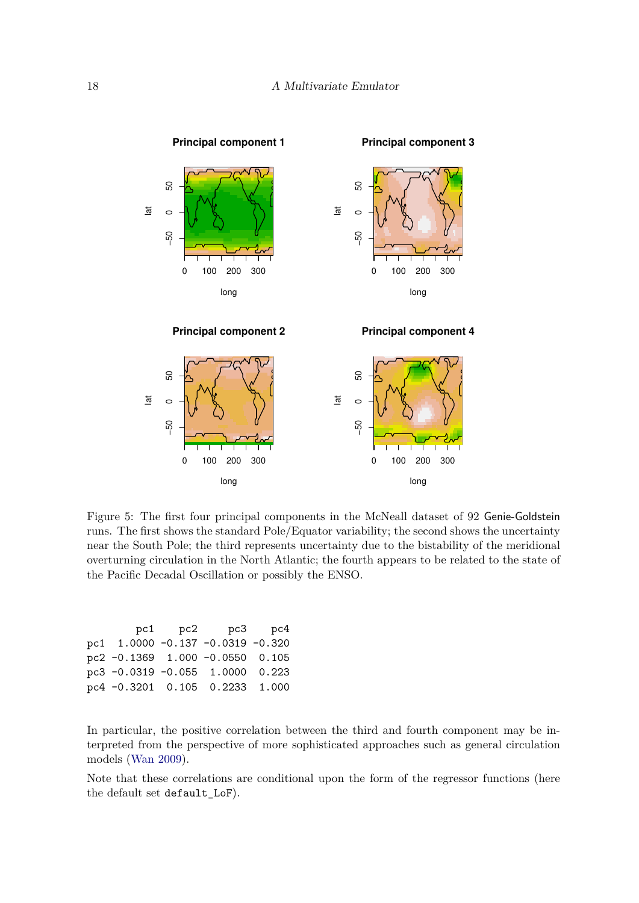

<span id="page-17-0"></span>Figure 5: The first four principal components in the McNeall dataset of 92 Genie-Goldstein runs. The first shows the standard Pole/Equator variability; the second shows the uncertainty near the South Pole; the third represents uncertainty due to the bistability of the meridional overturning circulation in the North Atlantic; the fourth appears to be related to the state of the Pacific Decadal Oscillation or possibly the ENSO.

|  | pc1 pc2 pc3 pc4                  |  |
|--|----------------------------------|--|
|  | pc1 1.0000 -0.137 -0.0319 -0.320 |  |
|  | pc2 -0.1369 1.000 -0.0550 0.105  |  |
|  | pc3 -0.0319 -0.055 1.0000 0.223  |  |
|  | pc4 -0.3201 0.105 0.2233 1.000   |  |

In particular, the positive correlation between the third and fourth component may be interpreted from the perspective of more sophisticated approaches such as general circulation models [\(Wan 2009\)](#page-20-5).

Note that these correlations are conditional upon the form of the regressor functions (here the default set default\_LoF).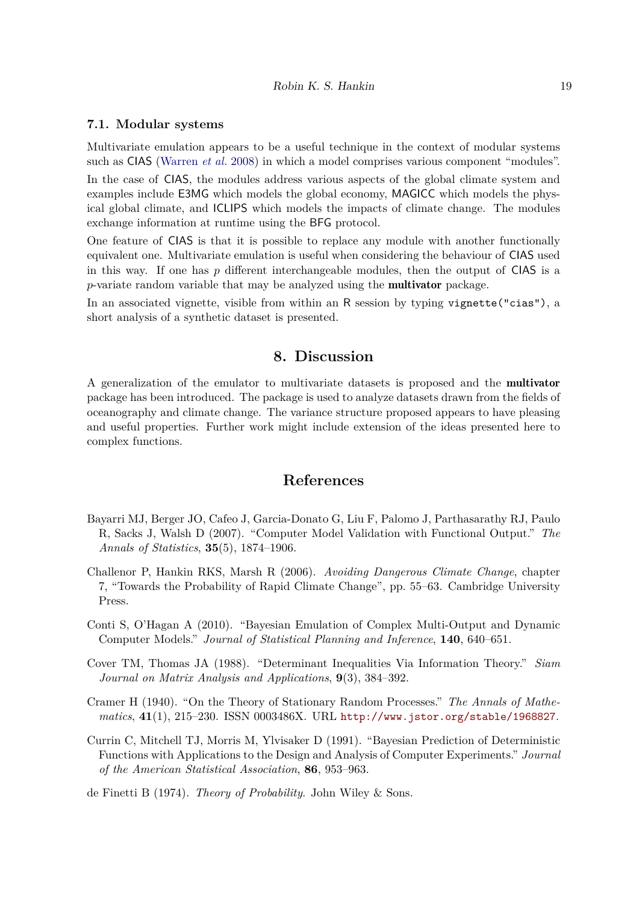### **7.1. Modular systems**

Multivariate emulation appears to be a useful technique in the context of modular systems such as CIAS [\(Warren](#page-20-0) *et al.* [2008\)](#page-20-0) in which a model comprises various component "modules".

In the case of CIAS, the modules address various aspects of the global climate system and examples include E3MG which models the global economy, MAGICC which models the physical global climate, and ICLIPS which models the impacts of climate change. The modules exchange information at runtime using the BFG protocol.

One feature of CIAS is that it is possible to replace any module with another functionally equivalent one. Multivariate emulation is useful when considering the behaviour of CIAS used in this way. If one has *p* different interchangeable modules, then the output of CIAS is a *p*-variate random variable that may be analyzed using the multivator package.

In an associated vignette, visible from within an R session by typing vignette("cias"), a short analysis of a synthetic dataset is presented.

## **8. Discussion**

A generalization of the emulator to multivariate datasets is proposed and the multivator package has been introduced. The package is used to analyze datasets drawn from the fields of oceanography and climate change. The variance structure proposed appears to have pleasing and useful properties. Further work might include extension of the ideas presented here to complex functions.

## **References**

- <span id="page-18-4"></span>Bayarri MJ, Berger JO, Cafeo J, Garcia-Donato G, Liu F, Palomo J, Parthasarathy RJ, Paulo R, Sacks J, Walsh D (2007). "Computer Model Validation with Functional Output." *The Annals of Statistics*, **35**(5), 1874–1906.
- <span id="page-18-2"></span>Challenor P, Hankin RKS, Marsh R (2006). *Avoiding Dangerous Climate Change*, chapter 7, "Towards the Probability of Rapid Climate Change", pp. 55–63. Cambridge University Press.
- <span id="page-18-3"></span>Conti S, O'Hagan A (2010). "Bayesian Emulation of Complex Multi-Output and Dynamic Computer Models." *Journal of Statistical Planning and Inference*, **140**, 640–651.
- <span id="page-18-6"></span>Cover TM, Thomas JA (1988). "Determinant Inequalities Via Information Theory." *Siam Journal on Matrix Analysis and Applications*, **9**(3), 384–392.
- <span id="page-18-5"></span>Cramer H (1940). "On the Theory of Stationary Random Processes." *The Annals of Mathematics*, **41**(1), 215–230. ISSN 0003486X. URL <http://www.jstor.org/stable/1968827>.
- <span id="page-18-0"></span>Currin C, Mitchell TJ, Morris M, Ylvisaker D (1991). "Bayesian Prediction of Deterministic Functions with Applications to the Design and Analysis of Computer Experiments." *Journal of the American Statistical Association*, **86**, 953–963.

<span id="page-18-1"></span>de Finetti B (1974). *Theory of Probability*. John Wiley & Sons.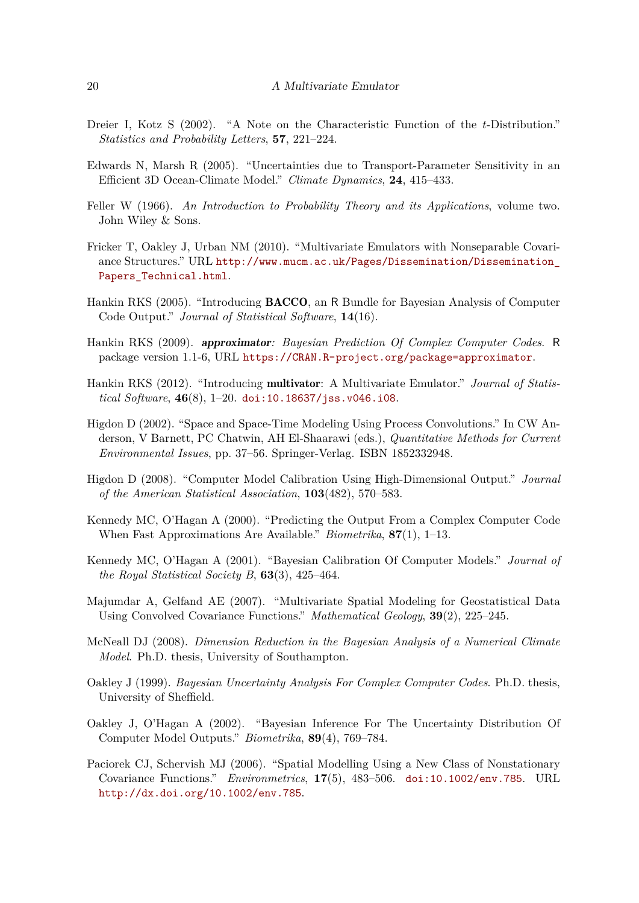- <span id="page-19-6"></span>Dreier I, Kotz S (2002). "A Note on the Characteristic Function of the *t*-Distribution." *Statistics and Probability Letters*, **57**, 221–224.
- <span id="page-19-15"></span>Edwards N, Marsh R (2005). "Uncertainties due to Transport-Parameter Sensitivity in an Efficient 3D Ocean-Climate Model." *Climate Dynamics*, **24**, 415–433.
- <span id="page-19-5"></span>Feller W (1966). *An Introduction to Probability Theory and its Applications*, volume two. John Wiley & Sons.
- <span id="page-19-9"></span>Fricker T, Oakley J, Urban NM (2010). "Multivariate Emulators with Nonseparable Covariance Structures." URL [http://www.mucm.ac.uk/Pages/Dissemination/Dissemination\\_](http://www.mucm.ac.uk/Pages/Dissemination/Dissemination_Papers_Technical.html) [Papers\\_Technical.html](http://www.mucm.ac.uk/Pages/Dissemination/Dissemination_Papers_Technical.html).
- <span id="page-19-0"></span>Hankin RKS (2005). "Introducing BACCO, an R Bundle for Bayesian Analysis of Computer Code Output." *Journal of Statistical Software*, **14**(16).
- <span id="page-19-12"></span>Hankin RKS (2009). approximator*: Bayesian Prediction Of Complex Computer Codes*. R package version 1.1-6, URL <https://CRAN.R-project.org/package=approximator>.
- <span id="page-19-2"></span>Hankin RKS (2012). "Introducing multivator: A Multivariate Emulator." *Journal of Statistical Software*, **46**(8), 1–20. [doi:10.18637/jss.v046.i08](https://doi.org/10.18637/jss.v046.i08).
- <span id="page-19-14"></span>Higdon D (2002). "Space and Space-Time Modeling Using Process Convolutions." In CW Anderson, V Barnett, PC Chatwin, AH El-Shaarawi (eds.), *Quantitative Methods for Current Environmental Issues*, pp. 37–56. Springer-Verlag. ISBN 1852332948.
- <span id="page-19-7"></span>Higdon D (2008). "Computer Model Calibration Using High-Dimensional Output." *Journal of the American Statistical Association*, **103**(482), 570–583.
- <span id="page-19-10"></span>Kennedy MC, O'Hagan A (2000). "Predicting the Output From a Complex Computer Code When Fast Approximations Are Available." *Biometrika*, **87**(1), 1–13.
- <span id="page-19-11"></span>Kennedy MC, O'Hagan A (2001). "Bayesian Calibration Of Computer Models." *Journal of the Royal Statistical Society B*, **63**(3), 425–464.
- <span id="page-19-8"></span>Majumdar A, Gelfand AE (2007). "Multivariate Spatial Modeling for Geostatistical Data Using Convolved Covariance Functions." *Mathematical Geology*, **39**(2), 225–245.
- <span id="page-19-4"></span>McNeall DJ (2008). *Dimension Reduction in the Bayesian Analysis of a Numerical Climate Model*. Ph.D. thesis, University of Southampton.
- <span id="page-19-1"></span>Oakley J (1999). *Bayesian Uncertainty Analysis For Complex Computer Codes*. Ph.D. thesis, University of Sheffield.
- <span id="page-19-3"></span>Oakley J, O'Hagan A (2002). "Bayesian Inference For The Uncertainty Distribution Of Computer Model Outputs." *Biometrika*, **89**(4), 769–784.
- <span id="page-19-13"></span>Paciorek CJ, Schervish MJ (2006). "Spatial Modelling Using a New Class of Nonstationary Covariance Functions." *Environmetrics*, **17**(5), 483–506. [doi:10.1002/env.785](https://doi.org/10.1002/env.785). URL <http://dx.doi.org/10.1002/env.785>.